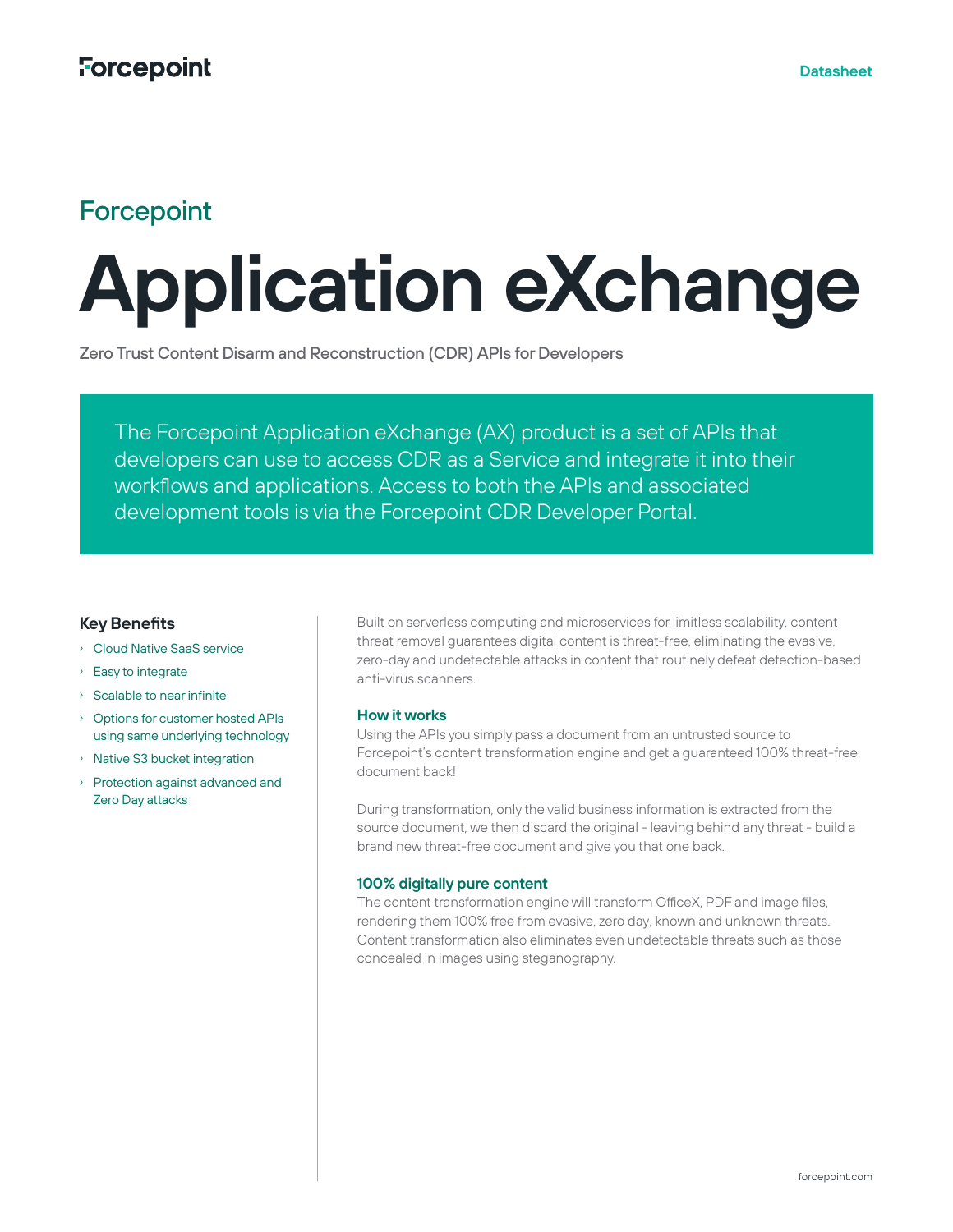## **Forcepoint**

# **Application eXchange**

Zero Trust Content Disarm and Reconstruction (CDR) APIs for Developers

The Forcepoint Application eXchange (AX) product is a set of APIs that developers can use to access CDR as a Service and integrate it into their workflows and applications. Access to both the APIs and associated development tools is via the Forcepoint CDR Developer Portal.

### **Key Benefits**

- › Cloud Native SaaS service
- › Easy to integrate
- › Scalable to near infinite
- › Options for customer hosted APIs using same underlying technology
- › Native S3 bucket integration
- › Protection against advanced and Zero Day attacks

Built on serverless computing and microservices for limitless scalability, content threat removal guarantees digital content is threat-free, eliminating the evasive, zero-day and undetectable attacks in content that routinely defeat detection-based anti-virus scanners.

#### **How it works**

Using the APIs you simply pass a document from an untrusted source to Forcepoint's content transformation engine and get a guaranteed 100% threat-free document back!

During transformation, only the valid business information is extracted from the source document, we then discard the original - leaving behind any threat - build a brand new threat-free document and give you that one back.

#### **100% digitally pure content**

The content transformation engine will transform OfficeX, PDF and image files, rendering them 100% free from evasive, zero day, known and unknown threats. Content transformation also eliminates even undetectable threats such as those concealed in images using steganography.